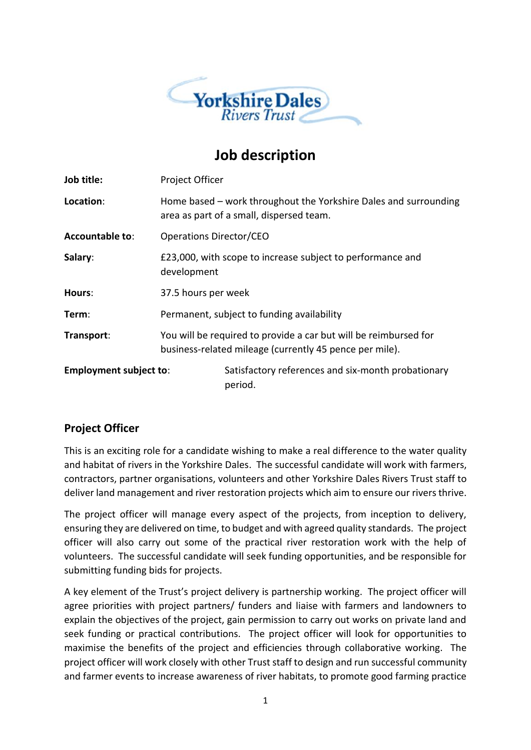

## **Job description**

| Job title:                    | Project Officer                                                                                                             |                                                               |
|-------------------------------|-----------------------------------------------------------------------------------------------------------------------------|---------------------------------------------------------------|
| Location:                     | Home based – work throughout the Yorkshire Dales and surrounding<br>area as part of a small, dispersed team.                |                                                               |
| <b>Accountable to:</b>        | Operations Director/CEO                                                                                                     |                                                               |
| Salary:                       | £23,000, with scope to increase subject to performance and<br>development                                                   |                                                               |
| Hours:                        | 37.5 hours per week                                                                                                         |                                                               |
| Term:                         | Permanent, subject to funding availability                                                                                  |                                                               |
| Transport:                    | You will be required to provide a car but will be reimbursed for<br>business-related mileage (currently 45 pence per mile). |                                                               |
| <b>Employment subject to:</b> |                                                                                                                             | Satisfactory references and six-month probationary<br>period. |

## **Project Officer**

This is an exciting role for a candidate wishing to make a real difference to the water quality and habitat of rivers in the Yorkshire Dales. The successful candidate will work with farmers, contractors, partner organisations, volunteers and other Yorkshire Dales Rivers Trust staff to deliver land management and river restoration projects which aim to ensure our rivers thrive.

The project officer will manage every aspect of the projects, from inception to delivery, ensuring they are delivered on time, to budget and with agreed quality standards. The project officer will also carry out some of the practical river restoration work with the help of volunteers. The successful candidate will seek funding opportunities, and be responsible for submitting funding bids for projects.

A key element of the Trust's project delivery is partnership working. The project officer will agree priorities with project partners/ funders and liaise with farmers and landowners to explain the objectives of the project, gain permission to carry out works on private land and seek funding or practical contributions. The project officer will look for opportunities to maximise the benefits of the project and efficiencies through collaborative working. The project officer will work closely with other Trust staff to design and run successful community and farmer events to increase awareness of river habitats, to promote good farming practice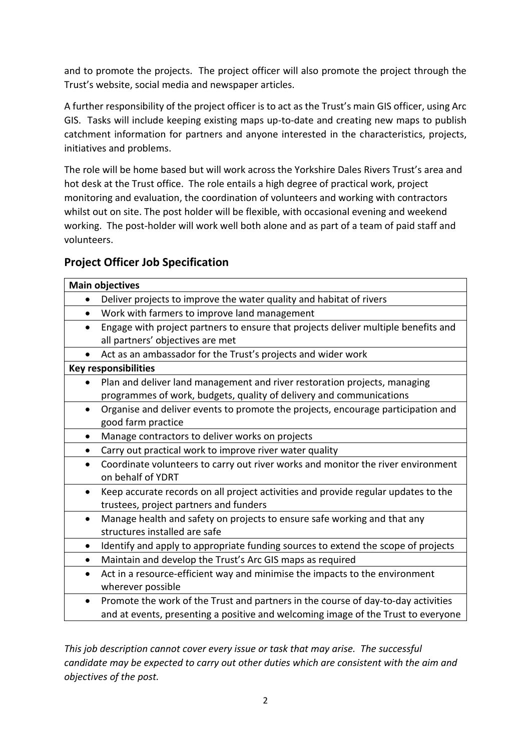and to promote the projects. The project officer will also promote the project through the Trust's website, social media and newspaper articles.

A further responsibility of the project officer is to act as the Trust's main GIS officer, using Arc GIS. Tasks will include keeping existing maps up-to-date and creating new maps to publish catchment information for partners and anyone interested in the characteristics, projects, initiatives and problems.

The role will be home based but will work across the Yorkshire Dales Rivers Trust's area and hot desk at the Trust office. The role entails a high degree of practical work, project monitoring and evaluation, the coordination of volunteers and working with contractors whilst out on site. The post holder will be flexible, with occasional evening and weekend working. The post-holder will work well both alone and as part of a team of paid staff and volunteers.

## **Project Officer Job Specification**

| <b>Main objectives</b>                                                                          |  |  |
|-------------------------------------------------------------------------------------------------|--|--|
| Deliver projects to improve the water quality and habitat of rivers<br>$\bullet$                |  |  |
| Work with farmers to improve land management<br>$\bullet$                                       |  |  |
| Engage with project partners to ensure that projects deliver multiple benefits and<br>$\bullet$ |  |  |
| all partners' objectives are met                                                                |  |  |
| Act as an ambassador for the Trust's projects and wider work                                    |  |  |
| <b>Key responsibilities</b>                                                                     |  |  |
| Plan and deliver land management and river restoration projects, managing<br>$\bullet$          |  |  |
| programmes of work, budgets, quality of delivery and communications                             |  |  |
| Organise and deliver events to promote the projects, encourage participation and<br>$\bullet$   |  |  |
| good farm practice                                                                              |  |  |
| Manage contractors to deliver works on projects<br>٠                                            |  |  |
| Carry out practical work to improve river water quality<br>$\bullet$                            |  |  |
| Coordinate volunteers to carry out river works and monitor the river environment<br>$\bullet$   |  |  |
| on behalf of YDRT                                                                               |  |  |
| Keep accurate records on all project activities and provide regular updates to the<br>$\bullet$ |  |  |
| trustees, project partners and funders                                                          |  |  |
| Manage health and safety on projects to ensure safe working and that any<br>$\bullet$           |  |  |
| structures installed are safe                                                                   |  |  |
| Identify and apply to appropriate funding sources to extend the scope of projects<br>$\bullet$  |  |  |
| Maintain and develop the Trust's Arc GIS maps as required<br>$\bullet$                          |  |  |
| Act in a resource-efficient way and minimise the impacts to the environment<br>$\bullet$        |  |  |
| wherever possible                                                                               |  |  |
| Promote the work of the Trust and partners in the course of day-to-day activities<br>$\bullet$  |  |  |
| and at events, presenting a positive and welcoming image of the Trust to everyone               |  |  |

*This job description cannot cover every issue or task that may arise. The successful candidate may be expected to carry out other duties which are consistent with the aim and objectives of the post.*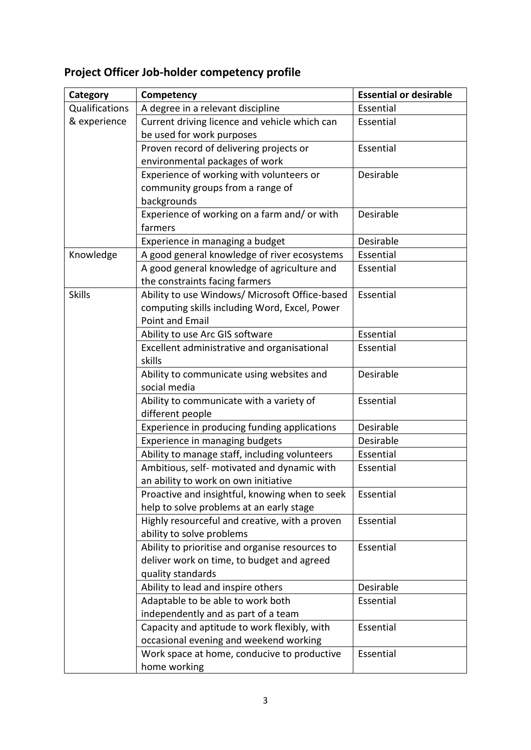# **Project Officer Job-holder competency profile**

| Category       | Competency                                      | <b>Essential or desirable</b> |
|----------------|-------------------------------------------------|-------------------------------|
| Qualifications | A degree in a relevant discipline               | Essential                     |
| & experience   | Current driving licence and vehicle which can   | Essential                     |
|                | be used for work purposes                       |                               |
|                | Proven record of delivering projects or         | Essential                     |
|                | environmental packages of work                  |                               |
|                | Experience of working with volunteers or        | Desirable                     |
|                | community groups from a range of                |                               |
|                | backgrounds                                     |                               |
|                | Experience of working on a farm and/or with     | Desirable                     |
|                | farmers                                         |                               |
|                | Experience in managing a budget                 | Desirable                     |
| Knowledge      | A good general knowledge of river ecosystems    | Essential                     |
|                | A good general knowledge of agriculture and     | Essential                     |
|                | the constraints facing farmers                  |                               |
| <b>Skills</b>  | Ability to use Windows/ Microsoft Office-based  | Essential                     |
|                | computing skills including Word, Excel, Power   |                               |
|                | <b>Point and Email</b>                          |                               |
|                | Ability to use Arc GIS software                 | Essential                     |
|                | Excellent administrative and organisational     | Essential                     |
|                | skills                                          |                               |
|                | Ability to communicate using websites and       | Desirable                     |
|                | social media                                    |                               |
|                | Ability to communicate with a variety of        | Essential                     |
|                | different people                                |                               |
|                | Experience in producing funding applications    | Desirable                     |
|                | Experience in managing budgets                  | Desirable                     |
|                | Ability to manage staff, including volunteers   | Essential                     |
|                | Ambitious, self- motivated and dynamic with     | Essential                     |
|                | an ability to work on own initiative            |                               |
|                | Proactive and insightful, knowing when to seek  | Essential                     |
|                | help to solve problems at an early stage        |                               |
|                | Highly resourceful and creative, with a proven  | Essential                     |
|                | ability to solve problems                       |                               |
|                | Ability to prioritise and organise resources to | Essential                     |
|                | deliver work on time, to budget and agreed      |                               |
|                | quality standards                               |                               |
|                | Ability to lead and inspire others              | Desirable                     |
|                | Adaptable to be able to work both               | Essential                     |
|                | independently and as part of a team             |                               |
|                | Capacity and aptitude to work flexibly, with    | Essential                     |
|                | occasional evening and weekend working          |                               |
|                | Work space at home, conducive to productive     | Essential                     |
|                | home working                                    |                               |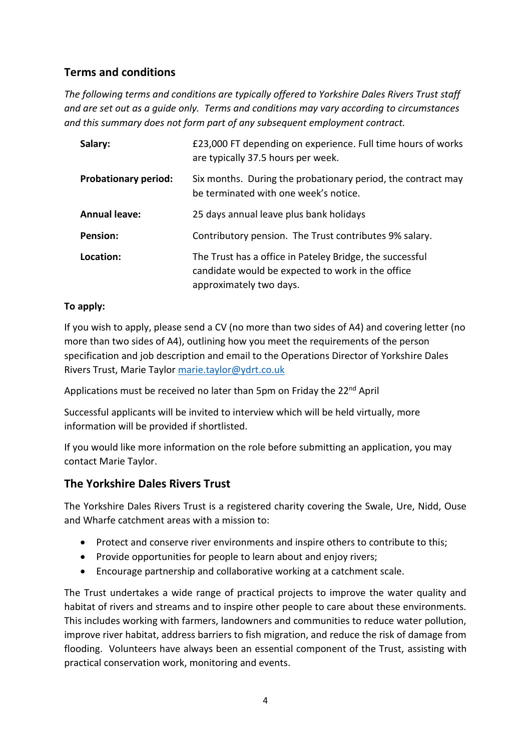## **Terms and conditions**

*The following terms and conditions are typically offered to Yorkshire Dales Rivers Trust staff and are set out as a guide only. Terms and conditions may vary according to circumstances and this summary does not form part of any subsequent employment contract.* 

| Salary:                     | £23,000 FT depending on experience. Full time hours of works<br>are typically 37.5 hours per week.                                       |  |
|-----------------------------|------------------------------------------------------------------------------------------------------------------------------------------|--|
| <b>Probationary period:</b> | Six months. During the probationary period, the contract may<br>be terminated with one week's notice.                                    |  |
| <b>Annual leave:</b>        | 25 days annual leave plus bank holidays                                                                                                  |  |
| <b>Pension:</b>             | Contributory pension. The Trust contributes 9% salary.                                                                                   |  |
| Location:                   | The Trust has a office in Pateley Bridge, the successful<br>candidate would be expected to work in the office<br>approximately two days. |  |

#### **To apply:**

If you wish to apply, please send a CV (no more than two sides of A4) and covering letter (no more than two sides of A4), outlining how you meet the requirements of the person specification and job description and email to the Operations Director of Yorkshire Dales Rivers Trust, Marie Taylor [marie.taylor@ydrt.co.uk](mailto:marie.taylor@ydrt.co.uk) 

Applications must be received no later than 5pm on Friday the 22<sup>nd</sup> April

Successful applicants will be invited to interview which will be held virtually, more information will be provided if shortlisted.

If you would like more information on the role before submitting an application, you may contact Marie Taylor.

### **The Yorkshire Dales Rivers Trust**

The Yorkshire Dales Rivers Trust is a registered charity covering the Swale, Ure, Nidd, Ouse and Wharfe catchment areas with a mission to:

- Protect and conserve river environments and inspire others to contribute to this;
- Provide opportunities for people to learn about and enjoy rivers;
- Encourage partnership and collaborative working at a catchment scale.

The Trust undertakes a wide range of practical projects to improve the water quality and habitat of rivers and streams and to inspire other people to care about these environments. This includes working with farmers, landowners and communities to reduce water pollution, improve river habitat, address barriers to fish migration, and reduce the risk of damage from flooding. Volunteers have always been an essential component of the Trust, assisting with practical conservation work, monitoring and events.